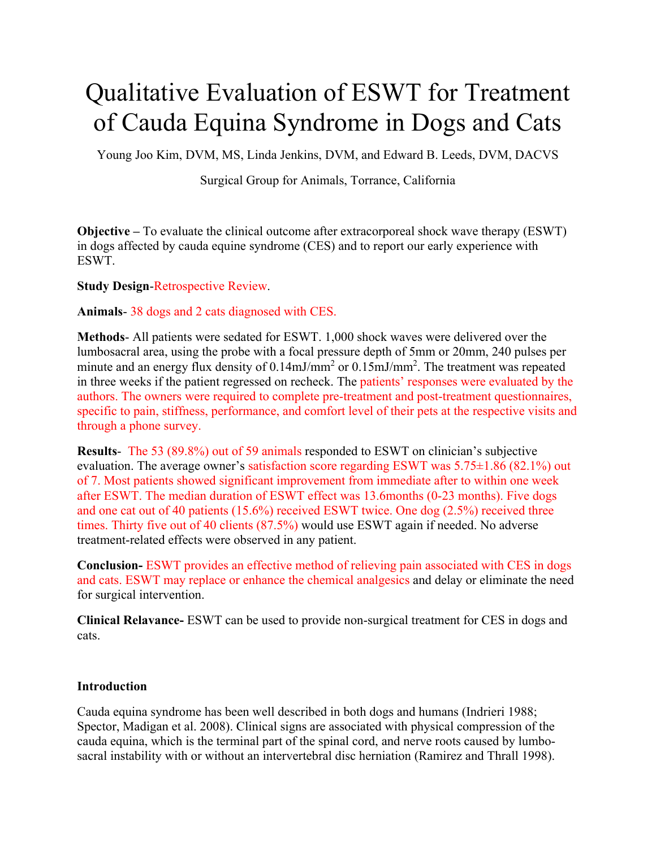# Qualitative Evaluation of ESWT for Treatment of Cauda Equina Syndrome in Dogs and Cats

Young Joo Kim, DVM, MS, Linda Jenkins, DVM, and Edward B. Leeds, DVM, DACVS

Surgical Group for Animals, Torrance, California

**Objective –** To evaluate the clinical outcome after extracorporeal shock wave therapy (ESWT) in dogs affected by cauda equine syndrome (CES) and to report our early experience with ESWT.

**Study Design**-Retrospective Review.

**Animals**- 38 dogs and 2 cats diagnosed with CES.

**Methods**- All patients were sedated for ESWT. 1,000 shock waves were delivered over the lumbosacral area, using the probe with a focal pressure depth of 5mm or 20mm, 240 pulses per minute and an energy flux density of  $0.14 \text{mJ/mm}^2$  or  $0.15 \text{mJ/mm}^2$ . The treatment was repeated in three weeks if the patient regressed on recheck. The patients' responses were evaluated by the authors. The owners were required to complete pre-treatment and post-treatment questionnaires, specific to pain, stiffness, performance, and comfort level of their pets at the respective visits and through a phone survey.

**Results**- The 53 (89.8%) out of 59 animals responded to ESWT on clinician's subjective evaluation. The average owner's satisfaction score regarding ESWT was 5.75±1.86 (82.1%) out of 7. Most patients showed significant improvement from immediate after to within one week after ESWT. The median duration of ESWT effect was 13.6months (0-23 months). Five dogs and one cat out of 40 patients (15.6%) received ESWT twice. One dog (2.5%) received three times. Thirty five out of 40 clients (87.5%) would use ESWT again if needed. No adverse treatment-related effects were observed in any patient.

**Conclusion-** ESWT provides an effective method of relieving pain associated with CES in dogs and cats. ESWT may replace or enhance the chemical analgesics and delay or eliminate the need for surgical intervention.

**Clinical Relavance-** ESWT can be used to provide non-surgical treatment for CES in dogs and cats.

## **Introduction**

Cauda equina syndrome has been well described in both dogs and humans (Indrieri 1988; Spector, Madigan et al. 2008). Clinical signs are associated with physical compression of the cauda equina, which is the terminal part of the spinal cord, and nerve roots caused by lumbosacral instability with or without an intervertebral disc herniation (Ramirez and Thrall 1998).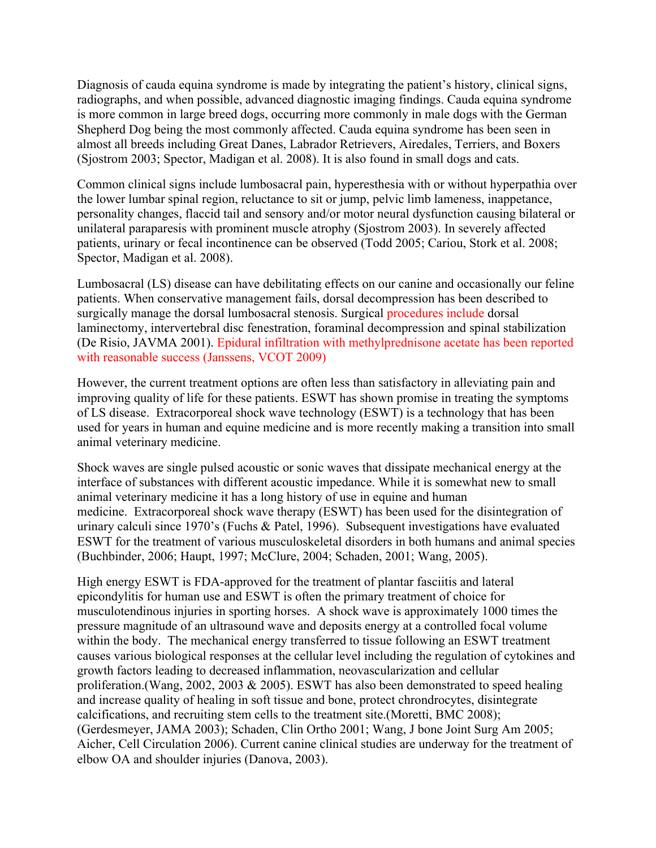Diagnosis of cauda equina syndrome is made by integrating the patient's history, clinical signs, radiographs, and when possible, advanced diagnostic imaging findings. Cauda equina syndrome is more common in large breed dogs, occurring more commonly in male dogs with the German Shepherd Dog being the most commonly affected. Cauda equina syndrome has been seen in almost all breeds including Great Danes, Labrador Retrievers, Airedales, Terriers, and Boxers (Sjostrom 2003; Spector, Madigan et al. 2008). It is also found in small dogs and cats.

Common clinical signs include lumbosacral pain, hyperesthesia with or without hyperpathia over the lower lumbar spinal region, reluctance to sit or jump, pelvic limb lameness, inappetance, personality changes, flaccid tail and sensory and/or motor neural dysfunction causing bilateral or unilateral paraparesis with prominent muscle atrophy (Sjostrom 2003). In severely affected patients, urinary or fecal incontinence can be observed (Todd 2005; Cariou, Stork et al. 2008; Spector, Madigan et al. 2008).

Lumbosacral (LS) disease can have debilitating effects on our canine and occasionally our feline patients. When conservative management fails, dorsal decompression has been described to surgically manage the dorsal lumbosacral stenosis. Surgical procedures include dorsal laminectomy, intervertebral disc fenestration, foraminal decompression and spinal stabilization (De Risio, JAVMA 2001). Epidural infiltration with methylprednisone acetate has been reported with reasonable success (Janssens, VCOT 2009)

However, the current treatment options are often less than satisfactory in alleviating pain and improving quality of life for these patients. ESWT has shown promise in treating the symptoms of LS disease. Extracorporeal shock wave technology (ESWT) is a technology that has been used for years in human and equine medicine and is more recently making a transition into small animal veterinary medicine.

Shock waves are single pulsed acoustic or sonic waves that dissipate mechanical energy at the interface of substances with different acoustic impedance. While it is somewhat new to small animal veterinary medicine it has a long history of use in equine and human medicine. Extracorporeal shock wave therapy (ESWT) has been used for the disintegration of urinary calculi since 1970's (Fuchs & Patel, 1996). Subsequent investigations have evaluated ESWT for the treatment of various musculoskeletal disorders in both humans and animal species (Buchbinder, 2006; Haupt, 1997; McClure, 2004; Schaden, 2001; Wang, 2005).

High energy ESWT is FDA-approved for the treatment of plantar fasciitis and lateral epicondylitis for human use and ESWT is often the primary treatment of choice for musculotendinous injuries in sporting horses. A shock wave is approximately 1000 times the pressure magnitude of an ultrasound wave and deposits energy at a controlled focal volume within the body. The mechanical energy transferred to tissue following an ESWT treatment causes various biological responses at the cellular level including the regulation of cytokines and growth factors leading to decreased inflammation, neovascularization and cellular proliferation.(Wang, 2002, 2003 & 2005). ESWT has also been demonstrated to speed healing and increase quality of healing in soft tissue and bone, protect chrondrocytes, disintegrate calcifications, and recruiting stem cells to the treatment site.(Moretti, BMC 2008); (Gerdesmeyer, JAMA 2003); Schaden, Clin Ortho 2001; Wang, J bone Joint Surg Am 2005; Aicher, Cell Circulation 2006). Current canine clinical studies are underway for the treatment of elbow OA and shoulder injuries (Danova, 2003).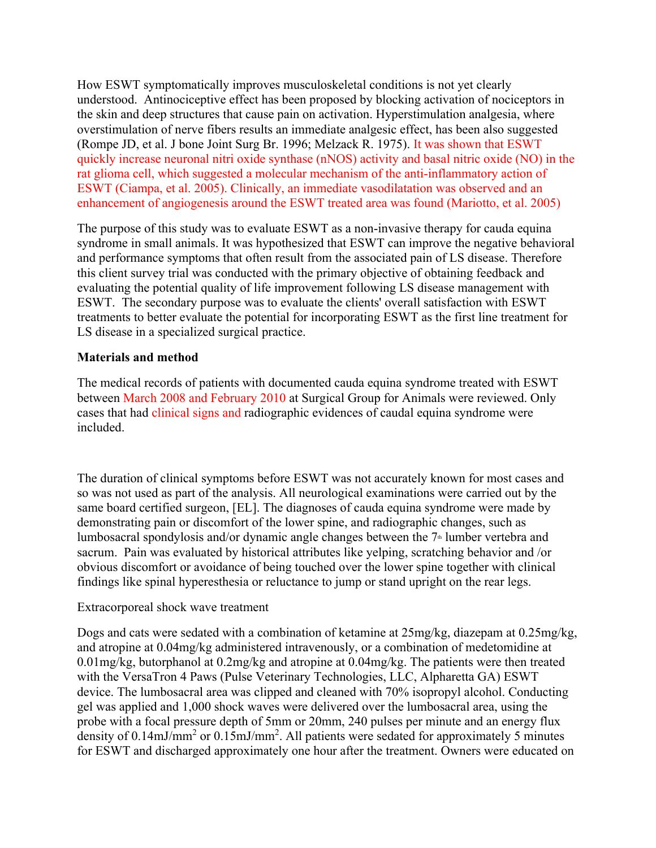How ESWT symptomatically improves musculoskeletal conditions is not yet clearly understood. Antinociceptive effect has been proposed by blocking activation of nociceptors in the skin and deep structures that cause pain on activation. Hyperstimulation analgesia, where overstimulation of nerve fibers results an immediate analgesic effect, has been also suggested (Rompe JD, et al. J bone Joint Surg Br. 1996; Melzack R. 1975). It was shown that ESWT quickly increase neuronal nitri oxide synthase (nNOS) activity and basal nitric oxide (NO) in the rat glioma cell, which suggested a molecular mechanism of the anti-inflammatory action of ESWT (Ciampa, et al. 2005). Clinically, an immediate vasodilatation was observed and an enhancement of angiogenesis around the ESWT treated area was found (Mariotto, et al. 2005)

The purpose of this study was to evaluate ESWT as a non-invasive therapy for cauda equina syndrome in small animals. It was hypothesized that ESWT can improve the negative behavioral and performance symptoms that often result from the associated pain of LS disease. Therefore this client survey trial was conducted with the primary objective of obtaining feedback and evaluating the potential quality of life improvement following LS disease management with ESWT. The secondary purpose was to evaluate the clients' overall satisfaction with ESWT treatments to better evaluate the potential for incorporating ESWT as the first line treatment for LS disease in a specialized surgical practice.

## **Materials and method**

The medical records of patients with documented cauda equina syndrome treated with ESWT between March 2008 and February 2010 at Surgical Group for Animals were reviewed. Only cases that had clinical signs and radiographic evidences of caudal equina syndrome were included.

The duration of clinical symptoms before ESWT was not accurately known for most cases and so was not used as part of the analysis. All neurological examinations were carried out by the same board certified surgeon, [EL]. The diagnoses of cauda equina syndrome were made by demonstrating pain or discomfort of the lower spine, and radiographic changes, such as lumbosacral spondylosis and/or dynamic angle changes between the 7<sup>th</sup> lumber vertebra and sacrum. Pain was evaluated by historical attributes like yelping, scratching behavior and /or obvious discomfort or avoidance of being touched over the lower spine together with clinical findings like spinal hyperesthesia or reluctance to jump or stand upright on the rear legs.

## Extracorporeal shock wave treatment

Dogs and cats were sedated with a combination of ketamine at 25mg/kg, diazepam at 0.25mg/kg, and atropine at 0.04mg/kg administered intravenously, or a combination of medetomidine at 0.01mg/kg, butorphanol at 0.2mg/kg and atropine at 0.04mg/kg. The patients were then treated with the VersaTron 4 Paws (Pulse Veterinary Technologies, LLC, Alpharetta GA) ESWT device. The lumbosacral area was clipped and cleaned with 70% isopropyl alcohol. Conducting gel was applied and 1,000 shock waves were delivered over the lumbosacral area, using the probe with a focal pressure depth of 5mm or 20mm, 240 pulses per minute and an energy flux density of 0.14mJ/mm<sup>2</sup> or 0.15mJ/mm<sup>2</sup>. All patients were sedated for approximately 5 minutes for ESWT and discharged approximately one hour after the treatment. Owners were educated on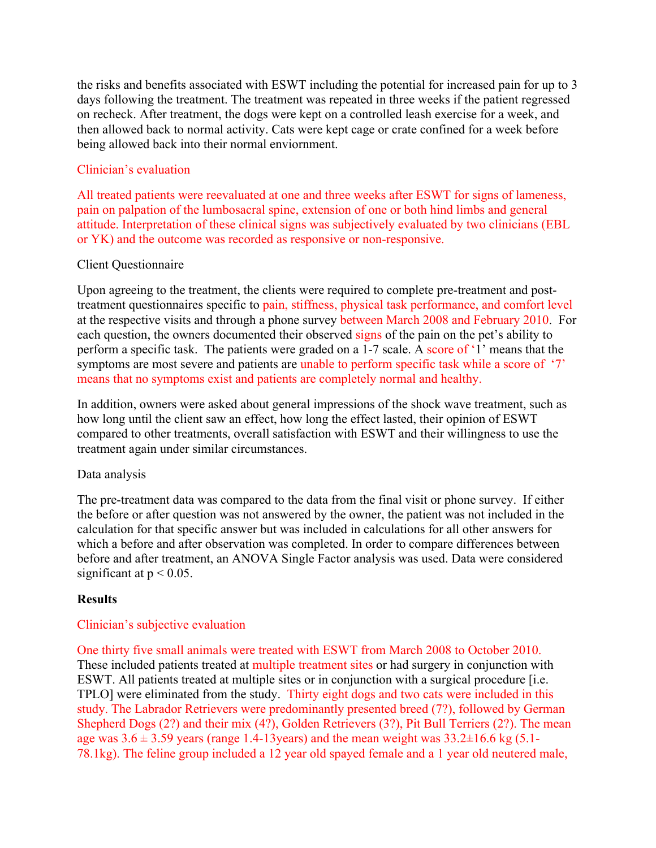the risks and benefits associated with ESWT including the potential for increased pain for up to 3 days following the treatment. The treatment was repeated in three weeks if the patient regressed on recheck. After treatment, the dogs were kept on a controlled leash exercise for a week, and then allowed back to normal activity. Cats were kept cage or crate confined for a week before being allowed back into their normal enviornment.

## Clinician's evaluation

All treated patients were reevaluated at one and three weeks after ESWT for signs of lameness, pain on palpation of the lumbosacral spine, extension of one or both hind limbs and general attitude. Interpretation of these clinical signs was subjectively evaluated by two clinicians (EBL or YK) and the outcome was recorded as responsive or non-responsive.

## Client Questionnaire

Upon agreeing to the treatment, the clients were required to complete pre-treatment and posttreatment questionnaires specific to pain, stiffness, physical task performance, and comfort level at the respective visits and through a phone survey between March 2008 and February 2010. For each question, the owners documented their observed signs of the pain on the pet's ability to perform a specific task. The patients were graded on a 1-7 scale. A score of '1' means that the symptoms are most severe and patients are unable to perform specific task while a score of '7' means that no symptoms exist and patients are completely normal and healthy.

In addition, owners were asked about general impressions of the shock wave treatment, such as how long until the client saw an effect, how long the effect lasted, their opinion of ESWT compared to other treatments, overall satisfaction with ESWT and their willingness to use the treatment again under similar circumstances.

## Data analysis

The pre-treatment data was compared to the data from the final visit or phone survey. If either the before or after question was not answered by the owner, the patient was not included in the calculation for that specific answer but was included in calculations for all other answers for which a before and after observation was completed. In order to compare differences between before and after treatment, an ANOVA Single Factor analysis was used. Data were considered significant at  $p < 0.05$ .

# **Results**

# Clinician's subjective evaluation

One thirty five small animals were treated with ESWT from March 2008 to October 2010. These included patients treated at multiple treatment sites or had surgery in conjunction with ESWT. All patients treated at multiple sites or in conjunction with a surgical procedure [i.e. TPLO] were eliminated from the study. Thirty eight dogs and two cats were included in this study. The Labrador Retrievers were predominantly presented breed (7?), followed by German Shepherd Dogs (2?) and their mix (4?), Golden Retrievers (3?), Pit Bull Terriers (2?). The mean age was  $3.6 \pm 3.59$  years (range 1.4-13 years) and the mean weight was  $33.2 \pm 16.6$  kg (5.1-78.1kg). The feline group included a 12 year old spayed female and a 1 year old neutered male,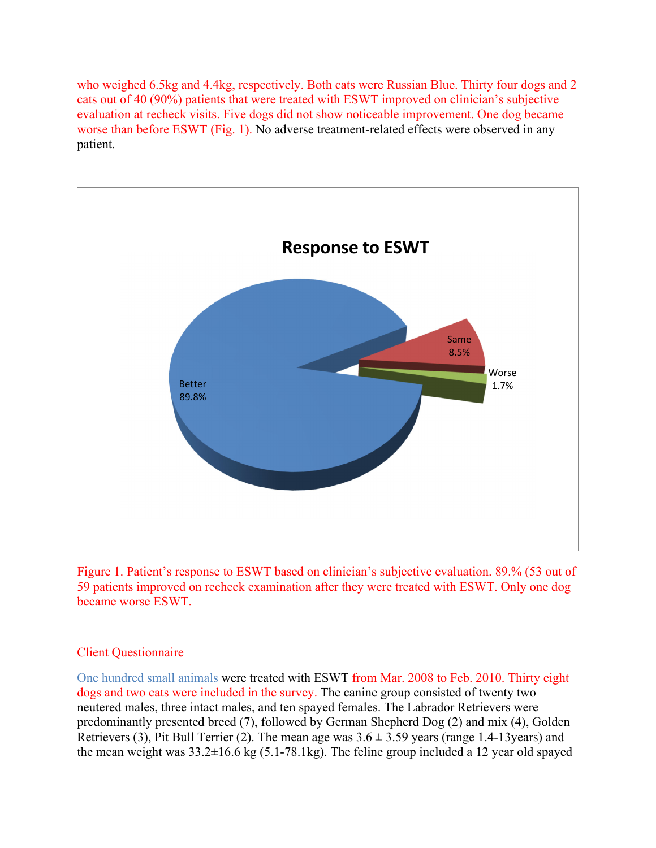who weighed 6.5kg and 4.4kg, respectively. Both cats were Russian Blue. Thirty four dogs and 2 cats out of 40 (90%) patients that were treated with ESWT improved on clinician's subjective evaluation at recheck visits. Five dogs did not show noticeable improvement. One dog became worse than before ESWT (Fig. 1). No adverse treatment-related effects were observed in any patient.



Figure 1. Patient's response to ESWT based on clinician's subjective evaluation. 89.% (53 out of 59 patients improved on recheck examination after they were treated with ESWT. Only one dog became worse ESWT.

## Client Questionnaire

One hundred small animals were treated with ESWT from Mar. 2008 to Feb. 2010. Thirty eight dogs and two cats were included in the survey. The canine group consisted of twenty two neutered males, three intact males, and ten spayed females. The Labrador Retrievers were predominantly presented breed (7), followed by German Shepherd Dog (2) and mix (4), Golden Retrievers (3), Pit Bull Terrier (2). The mean age was  $3.6 \pm 3.59$  years (range 1.4-13 years) and the mean weight was 33.2±16.6 kg (5.1-78.1kg). The feline group included a 12 year old spayed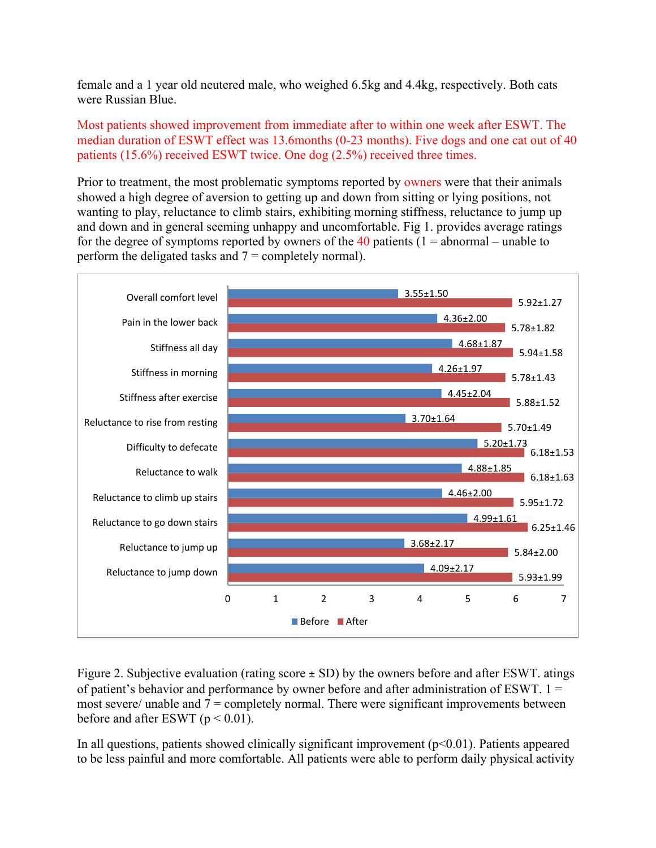female and a 1 year old neutered male, who weighed 6.5kg and 4.4kg, respectively. Both cats were Russian Blue.

Most patients showed improvement from immediate after to within one week after ESWT. The median duration of ESWT effect was 13.6months (0-23 months). Five dogs and one cat out of 40 patients (15.6%) received ESWT twice. One dog (2.5%) received three times.

Prior to treatment, the most problematic symptoms reported by owners were that their animals showed a high degree of aversion to getting up and down from sitting or lying positions, not wanting to play, reluctance to climb stairs, exhibiting morning stiffness, reluctance to jump up and down and in general seeming unhappy and uncomfortable. Fig 1. provides average ratings for the degree of symptoms reported by owners of the 40 patients ( $1 =$  abnormal – unable to perform the deligated tasks and  $7 =$  completely normal).



Figure 2. Subjective evaluation (rating score ± SD) by the owners before and after ESWT. atings of patient's behavior and performance by owner before and after administration of ESWT.  $1 =$ most severe/ unable and  $7 =$  completely normal. There were significant improvements between before and after ESWT ( $p < 0.01$ ).

In all questions, patients showed clinically significant improvement  $(p<0.01)$ . Patients appeared to be less painful and more comfortable. All patients were able to perform daily physical activity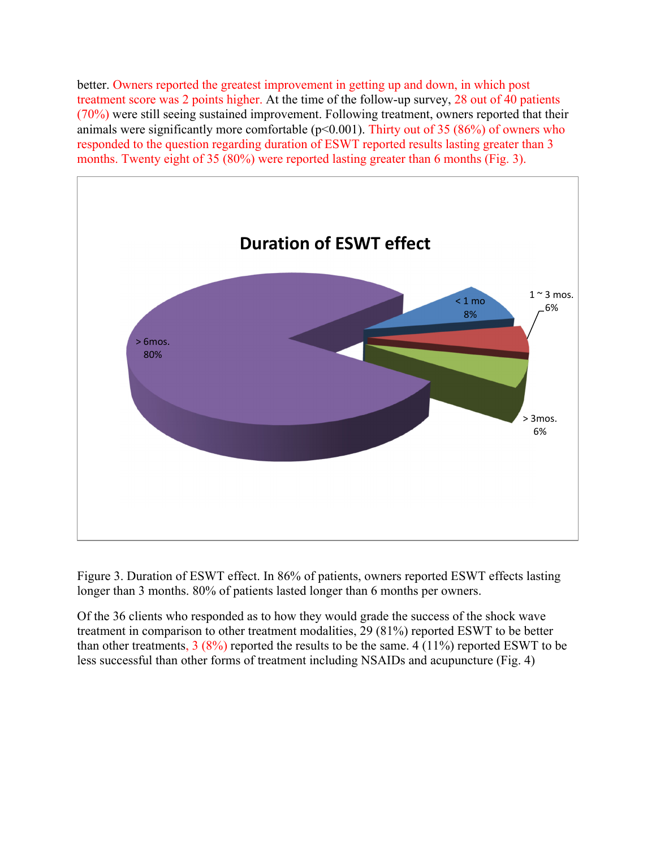better. Owners reported the greatest improvement in getting up and down, in which post treatment score was 2 points higher. At the time of the follow-up survey, 28 out of 40 patients (70%) were still seeing sustained improvement. Following treatment, owners reported that their animals were significantly more comfortable ( $p<0.001$ ). Thirty out of 35 (86%) of owners who responded to the question regarding duration of ESWT reported results lasting greater than 3 months. Twenty eight of 35 (80%) were reported lasting greater than 6 months (Fig. 3).



Figure 3. Duration of ESWT effect. In 86% of patients, owners reported ESWT effects lasting longer than 3 months. 80% of patients lasted longer than 6 months per owners.

Of the 36 clients who responded as to how they would grade the success of the shock wave treatment in comparison to other treatment modalities, 29 (81%) reported ESWT to be better than other treatments,  $3 (8\%)$  reported the results to be the same. 4 (11%) reported ESWT to be less successful than other forms of treatment including NSAIDs and acupuncture (Fig. 4)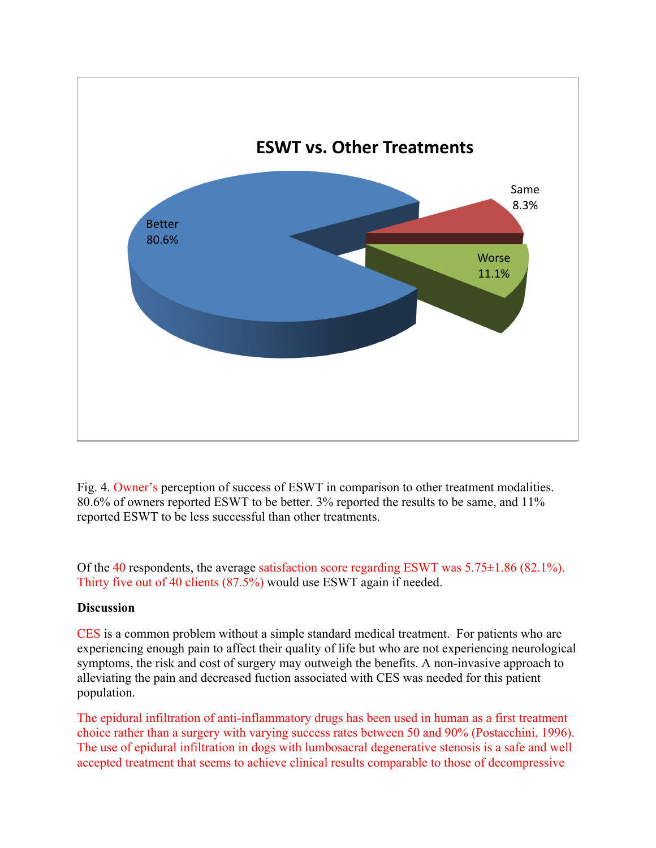

Fig. 4. Owner's perception of success of ESWT in comparison to other treatment modalities. 80.6% of owners reported ESWT to be better. 3% reported the results to be same, and 11% reported ESWT to be less successful than other treatments.

Of the 40 respondents, the average satisfaction score regarding ESWT was 5.75±1.86 (82.1%). Thirty five out of 40 clients (87.5%) would use ESWT again if needed.

## **Discussion**

CES is a common problem without a simple standard medical treatment. For patients who are experiencing enough pain to affect their quality of life but who are not experiencing neurological symptoms, the risk and cost of surgery may outweigh the benefits. A non-invasive approach to alleviating the pain and decreased fuction associated with CES was needed for this patient population.

The epidural infiltration of anti-inflammatory drugs has been used in human as a first treatment choice rather than a surgery with varying success rates between 50 and 90% (Postacchini, 1996). The use of epidural infiltration in dogs with lumbosacral degenerative stenosis is a safe and well accepted treatment that seems to achieve clinical results comparable to those of decompressive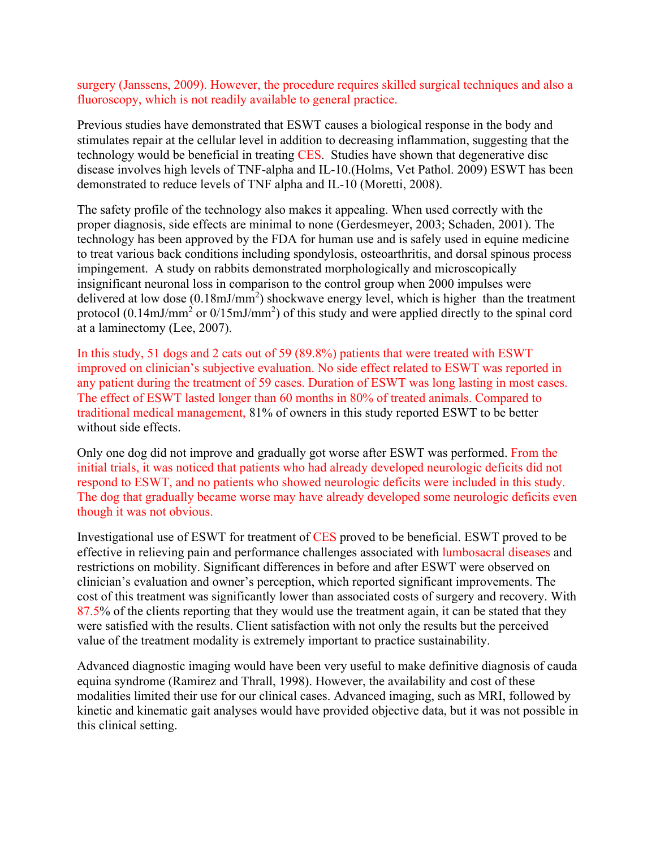surgery (Janssens, 2009). However, the procedure requires skilled surgical techniques and also a fluoroscopy, which is not readily available to general practice.

Previous studies have demonstrated that ESWT causes a biological response in the body and stimulates repair at the cellular level in addition to decreasing inflammation, suggesting that the technology would be beneficial in treating CES. Studies have shown that degenerative disc disease involves high levels of TNF-alpha and IL-10.(Holms, Vet Pathol. 2009) ESWT has been demonstrated to reduce levels of TNF alpha and IL-10 (Moretti, 2008).

The safety profile of the technology also makes it appealing. When used correctly with the proper diagnosis, side effects are minimal to none (Gerdesmeyer, 2003; Schaden, 2001). The technology has been approved by the FDA for human use and is safely used in equine medicine to treat various back conditions including spondylosis, osteoarthritis, and dorsal spinous process impingement. A study on rabbits demonstrated morphologically and microscopically insignificant neuronal loss in comparison to the control group when 2000 impulses were delivered at low dose  $(0.18 \text{mJ/mm}^2)$  shockwave energy level, which is higher than the treatment protocol (0.14mJ/mm<sup>2</sup> or  $0/15$ mJ/mm<sup>2</sup>) of this study and were applied directly to the spinal cord at a laminectomy (Lee, 2007).

In this study, 51 dogs and 2 cats out of 59 (89.8%) patients that were treated with ESWT improved on clinician's subjective evaluation. No side effect related to ESWT was reported in any patient during the treatment of 59 cases. Duration of ESWT was long lasting in most cases. The effect of ESWT lasted longer than 60 months in 80% of treated animals. Compared to traditional medical management, 81% of owners in this study reported ESWT to be better without side effects.

Only one dog did not improve and gradually got worse after ESWT was performed. From the initial trials, it was noticed that patients who had already developed neurologic deficits did not respond to ESWT, and no patients who showed neurologic deficits were included in this study. The dog that gradually became worse may have already developed some neurologic deficits even though it was not obvious.

Investigational use of ESWT for treatment of CES proved to be beneficial. ESWT proved to be effective in relieving pain and performance challenges associated with lumbosacral diseases and restrictions on mobility. Significant differences in before and after ESWT were observed on clinician's evaluation and owner's perception, which reported significant improvements. The cost of this treatment was significantly lower than associated costs of surgery and recovery. With 87.5% of the clients reporting that they would use the treatment again, it can be stated that they were satisfied with the results. Client satisfaction with not only the results but the perceived value of the treatment modality is extremely important to practice sustainability.

Advanced diagnostic imaging would have been very useful to make definitive diagnosis of cauda equina syndrome (Ramirez and Thrall, 1998). However, the availability and cost of these modalities limited their use for our clinical cases. Advanced imaging, such as MRI, followed by kinetic and kinematic gait analyses would have provided objective data, but it was not possible in this clinical setting.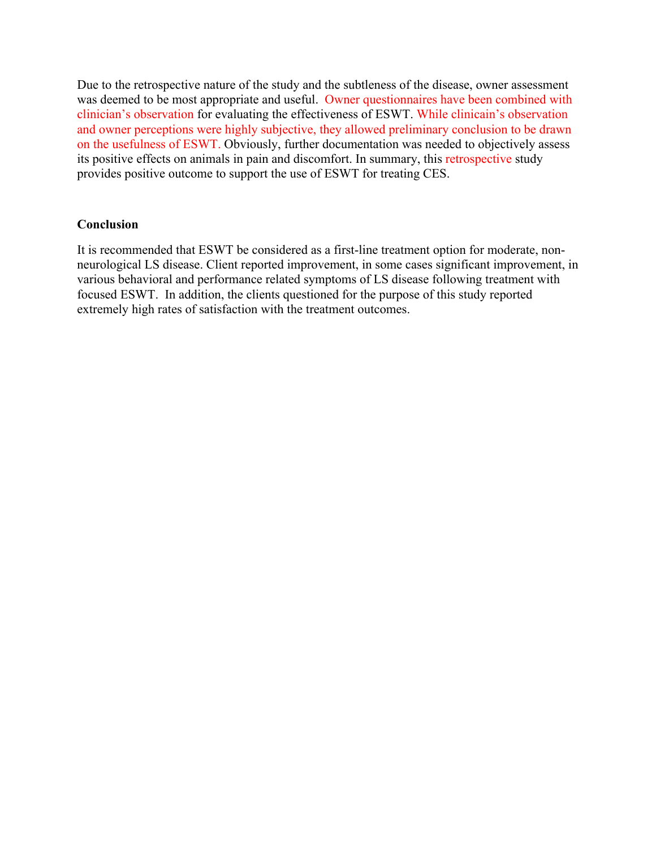Due to the retrospective nature of the study and the subtleness of the disease, owner assessment was deemed to be most appropriate and useful. Owner questionnaires have been combined with clinician's observation for evaluating the effectiveness of ESWT. While clinicain's observation and owner perceptions were highly subjective, they allowed preliminary conclusion to be drawn on the usefulness of ESWT. Obviously, further documentation was needed to objectively assess its positive effects on animals in pain and discomfort. In summary, this retrospective study provides positive outcome to support the use of ESWT for treating CES.

#### **Conclusion**

It is recommended that ESWT be considered as a first-line treatment option for moderate, nonneurological LS disease. Client reported improvement, in some cases significant improvement, in various behavioral and performance related symptoms of LS disease following treatment with focused ESWT. In addition, the clients questioned for the purpose of this study reported extremely high rates of satisfaction with the treatment outcomes.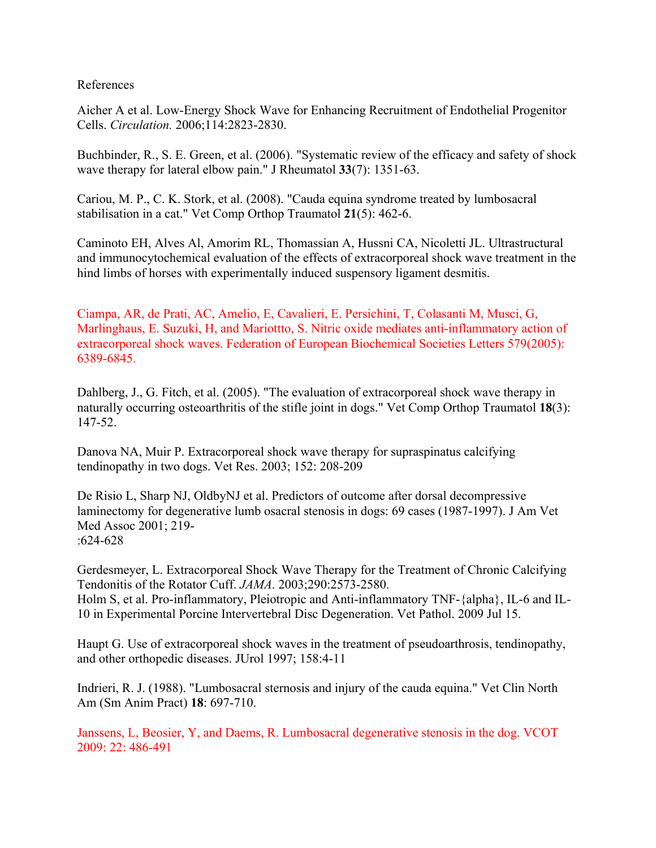#### References

Aicher A et al. Low-Energy Shock Wave for Enhancing Recruitment of Endothelial Progenitor Cells. *Circulation.* 2006;114:2823-2830.

Buchbinder, R., S. E. Green, et al. (2006). "Systematic review of the efficacy and safety of shock wave therapy for lateral elbow pain." J Rheumatol **33**(7): 1351-63.

Cariou, M. P., C. K. Stork, et al. (2008). "Cauda equina syndrome treated by lumbosacral stabilisation in a cat." Vet Comp Orthop Traumatol **21**(5): 462-6.

Caminoto EH, Alves Al, Amorim RL, Thomassian A, Hussni CA, Nicoletti JL. Ultrastructural and immunocytochemical evaluation of the effects of extracorporeal shock wave treatment in the hind limbs of horses with experimentally induced suspensory ligament desmitis.

Ciampa, AR, de Prati, AC, Amelio, E, Cavalieri, E. Persichini, T, Colasanti M, Musci, G, Marlinghaus, E. Suzuki, H, and Mariottto, S. Nitric oxide mediates anti-inflammatory action of extracorporeal shock waves. Federation of European Biochemical Societies Letters 579(2005): 6389-6845.

Dahlberg, J., G. Fitch, et al. (2005). "The evaluation of extracorporeal shock wave therapy in naturally occurring osteoarthritis of the stifle joint in dogs." Vet Comp Orthop Traumatol **18**(3): 147-52.

Danova NA, Muir P. Extracorporeal shock wave therapy for supraspinatus calcifying tendinopathy in two dogs. Vet Res. 2003; 152: 208-209

De Risio L, Sharp NJ, OldbyNJ et al. Predictors of outcome after dorsal decompressive laminectomy for degenerative lumb osacral stenosis in dogs: 69 cases (1987-1997). J Am Vet Med Assoc 2001; 219- :624-628

Gerdesmeyer, L. Extracorporeal Shock Wave Therapy for the Treatment of Chronic Calcifying Tendonitis of the Rotator Cuff. *JAMA*. 2003;290:2573-2580. Holm S, et al. Pro-inflammatory, Pleiotropic and Anti-inflammatory TNF-{alpha}, IL-6 and IL-10 in Experimental Porcine Intervertebral Disc Degeneration. Vet Pathol. 2009 Jul 15.

Haupt G. Use of extracorporeal shock waves in the treatment of pseudoarthrosis, tendinopathy, and other orthopedic diseases. JUrol 1997; 158:4-11

Indrieri, R. J. (1988). "Lumbosacral sternosis and injury of the cauda equina." Vet Clin North Am (Sm Anim Pract) **18**: 697-710.

Janssens, L, Beosier, Y, and Daems, R. Lumbosacral degenerative stenosis in the dog. VCOT 2009: 22: 486-491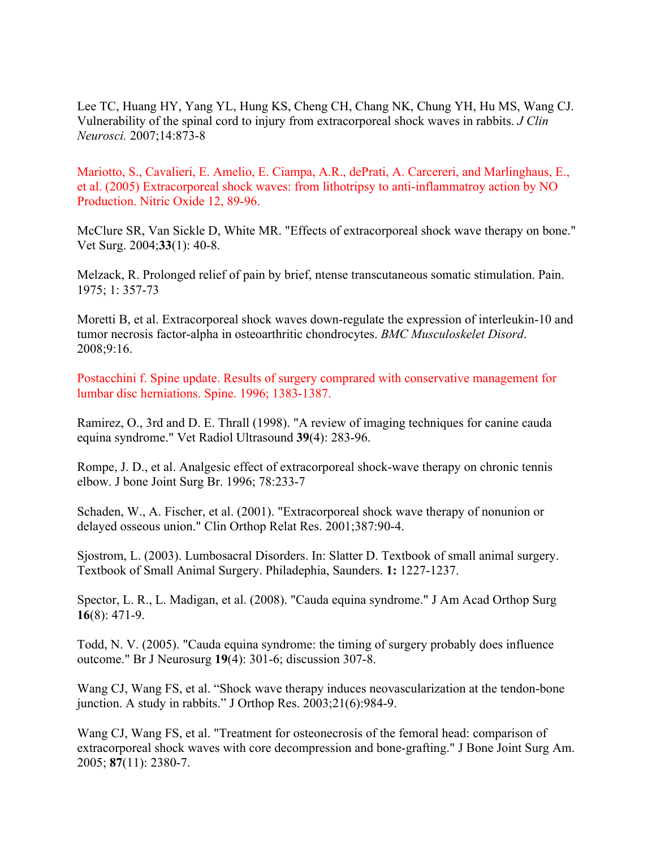Lee TC, Huang HY, Yang YL, Hung KS, Cheng CH, Chang NK, Chung YH, Hu MS, Wang CJ. Vulnerability of the spinal cord to injury from extracorporeal shock waves in rabbits. *J Clin Neurosci.* 2007;14:873-8

Mariotto, S., Cavalieri, E. Amelio, E. Ciampa, A.R., dePrati, A. Carcereri, and Marlinghaus, E., et al. (2005) Extracorporeal shock waves: from lithotripsy to anti-inflammatroy action by NO Production. Nitric Oxide 12, 89-96.

McClure SR, Van Sickle D, White MR. "Effects of extracorporeal shock wave therapy on bone." Vet Surg. 2004;**33**(1): 40-8.

Melzack, R. Prolonged relief of pain by brief, ntense transcutaneous somatic stimulation. Pain. 1975; 1: 357-73

Moretti B, et al. Extracorporeal shock waves down-regulate the expression of interleukin-10 and tumor necrosis factor-alpha in osteoarthritic chondrocytes. *BMC Musculoskelet Disord*. 2008;9:16.

Postacchini f. Spine update. Results of surgery comprared with conservative management for lumbar disc herniations. Spine. 1996; 1383-1387.

Ramirez, O., 3rd and D. E. Thrall (1998). "A review of imaging techniques for canine cauda equina syndrome." Vet Radiol Ultrasound **39**(4): 283-96.

Rompe, J. D., et al. Analgesic effect of extracorporeal shock-wave therapy on chronic tennis elbow. J bone Joint Surg Br. 1996; 78:233-7

Schaden, W., A. Fischer, et al. (2001). "Extracorporeal shock wave therapy of nonunion or delayed osseous union." Clin Orthop Relat Res. 2001;387:90-4.

Sjostrom, L. (2003). Lumbosacral Disorders. In: Slatter D. Textbook of small animal surgery. Textbook of Small Animal Surgery. Philadephia, Saunders. **1:** 1227-1237.

Spector, L. R., L. Madigan, et al. (2008). "Cauda equina syndrome." J Am Acad Orthop Surg **16**(8): 471-9.

Todd, N. V. (2005). "Cauda equina syndrome: the timing of surgery probably does influence outcome." Br J Neurosurg **19**(4): 301-6; discussion 307-8.

Wang CJ, Wang FS, et al. "Shock wave therapy induces neovascularization at the tendon-bone junction. A study in rabbits." J Orthop Res. 2003;21(6):984-9.

Wang CJ, Wang FS, et al. "Treatment for osteonecrosis of the femoral head: comparison of extracorporeal shock waves with core decompression and bone-grafting." J Bone Joint Surg Am. 2005; **87**(11): 2380-7.